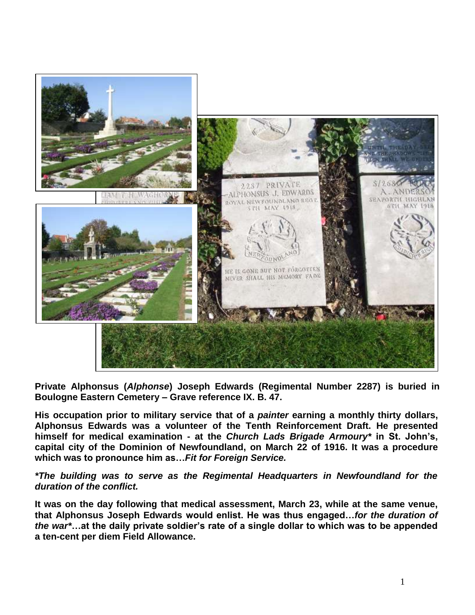

**Private Alphonsus (***Alphonse***) Joseph Edwards (Regimental Number 2287) is buried in Boulogne Eastern Cemetery – Grave reference IX. B. 47.** 

**His occupation prior to military service that of a** *painter* **earning a monthly thirty dollars, Alphonsus Edwards was a volunteer of the Tenth Reinforcement Draft. He presented himself for medical examination - at the** *Church Lads Brigade Armoury\** **in St. John's, capital city of the Dominion of Newfoundland, on March 22 of 1916. It was a procedure which was to pronounce him as…***Fit for Foreign Service.* 

*\*The building was to serve as the Regimental Headquarters in Newfoundland for the duration of the conflict.*

**It was on the day following that medical assessment, March 23, while at the same venue, that Alphonsus Joseph Edwards would enlist. He was thus engaged…***for the duration of the war\****…at the daily private soldier's rate of a single dollar to which was to be appended a ten-cent per diem Field Allowance.**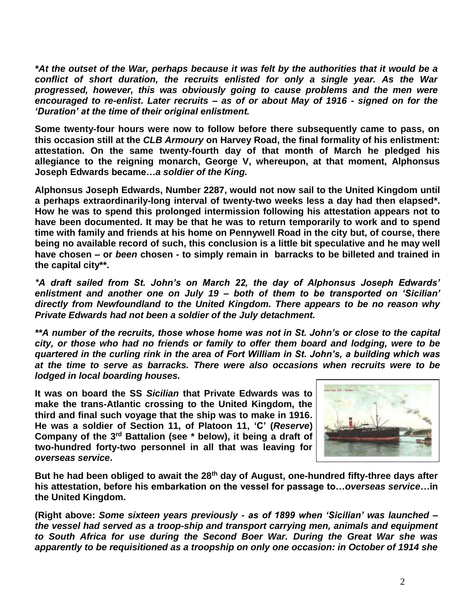*\*At the outset of the War, perhaps because it was felt by the authorities that it would be a conflict of short duration, the recruits enlisted for only a single year. As the War progressed, however, this was obviously going to cause problems and the men were encouraged to re-enlist***.** *Later recruits – as of or about May of 1916 - signed on for the 'Duration' at the time of their original enlistment.*

**Some twenty-four hours were now to follow before there subsequently came to pass, on this occasion still at the** *CLB Armoury* **on Harvey Road, the final formality of his enlistment: attestation. On the same twenty-fourth day of that month of March he pledged his allegiance to the reigning monarch, George V, whereupon, at that moment, Alphonsus Joseph Edwards became…***a soldier of the King.*

**Alphonsus Joseph Edwards, Number 2287, would not now sail to the United Kingdom until a perhaps extraordinarily-long interval of twenty-two weeks less a day had then elapsed\*. How he was to spend this prolonged intermission following his attestation appears not to have been documented. It may be that he was to return temporarily to work and to spend time with family and friends at his home on Pennywell Road in the city but, of course, there being no available record of such, this conclusion is a little bit speculative and he may well have chosen – or** *been* **chosen - to simply remain in barracks to be billeted and trained in the capital city\*\*.**

*\*A draft sailed from St. John's on March 22, the day of Alphonsus Joseph Edwards' enlistment and another one on July 19 – both of them to be transported on 'Sicilian' directly from Newfoundland to the United Kingdom. There appears to be no reason why Private Edwards had not been a soldier of the July detachment.* 

*\*\*A number of the recruits, those whose home was not in St. John's or close to the capital city, or those who had no friends or family to offer them board and lodging, were to be quartered in the curling rink in the area of Fort William in St. John's, a building which was at the time to serve as barracks. There were also occasions when recruits were to be lodged in local boarding houses.*

**It was on board the SS** *Sicilian* **that Private Edwards was to make the trans-Atlantic crossing to the United Kingdom, the third and final such voyage that the ship was to make in 1916. He was a soldier of Section 11, of Platoon 11, 'C' (***Reserve***)**  Company of the 3<sup>rd</sup> Battalion (see \* below), it being a draft of **two-hundred forty-two personnel in all that was leaving for**  *overseas service***.**



**But he had been obliged to await the 28th day of August, one-hundred fifty-three days after his attestation, before his embarkation on the vessel for passage to…***overseas service***…in the United Kingdom.** 

**(Right above:** *Some sixteen years previously - as of 1899 when 'Sicilian' was launched – the vessel had served as a troop-ship and transport carrying men, animals and equipment to South Africa for use during the Second Boer War. During the Great War she was apparently to be requisitioned as a troopship on only one occasion: in October of 1914 she*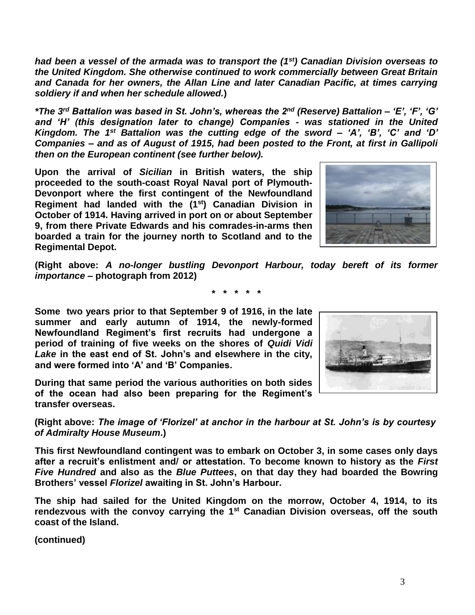*had been a vessel of the armada was to transport the (1st) Canadian Division overseas to the United Kingdom. She otherwise continued to work commercially between Great Britain and Canada for her owners, the Allan Line and later Canadian Pacific, at times carrying soldiery if and when her schedule allowed.***)**

*\*The 3rd Battalion was based in St. John's, whereas the 2nd (Reserve) Battalion – 'E', 'F', 'G' and 'H' (this designation later to change) Companies - was stationed in the United Kingdom. The 1st Battalion was the cutting edge of the sword – 'A', 'B', 'C' and 'D' Companies – and as of August of 1915, had been posted to the Front, at first in Gallipoli then on the European continent (see further below).*

**Upon the arrival of** *Sicilian* **in British waters, the ship proceeded to the south-coast Royal Naval port of Plymouth-Devonport where the first contingent of the Newfoundland Regiment had landed with the (1st) Canadian Division in October of 1914. Having arrived in port on or about September 9, from there Private Edwards and his comrades-in-arms then boarded a train for the journey north to Scotland and to the Regimental Depot.** 

**(Right above:** *A no-longer bustling Devonport Harbour, today bereft of its former importance* **– photograph from 2012)**

**\* \* \* \* \***

**Some two years prior to that September 9 of 1916, in the late summer and early autumn of 1914, the newly-formed Newfoundland Regiment's first recruits had undergone a period of training of five weeks on the shores of** *Quidi Vidi Lake* **in the east end of St. John's and elsewhere in the city, and were formed into 'A' and 'B' Companies.** 

**During that same period the various authorities on both sides of the ocean had also been preparing for the Regiment's transfer overseas.**

**(Right above:** *The image of 'Florizel' at anchor in the harbour at St. John's is by courtesy of Admiralty House Museum***.)**

**This first Newfoundland contingent was to embark on October 3, in some cases only days after a recruit's enlistment and/ or attestation. To become known to history as the** *First Five Hundred* **and also as the** *Blue Puttees***, on that day they had boarded the Bowring Brothers' vessel** *Florizel* **awaiting in St. John's Harbour.**

**The ship had sailed for the United Kingdom on the morrow, October 4, 1914, to its rendezvous with the convoy carrying the 1st Canadian Division overseas, off the south coast of the Island.** 



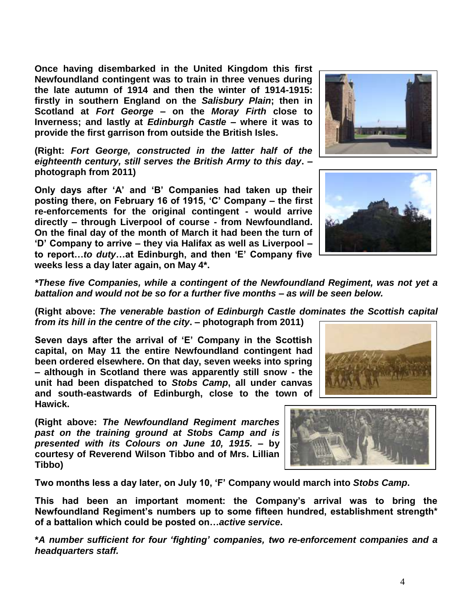**Once having disembarked in the United Kingdom this first Newfoundland contingent was to train in three venues during the late autumn of 1914 and then the winter of 1914-1915: firstly in southern England on the** *Salisbury Plain***; then in Scotland at** *Fort George* **– on the** *Moray Firth* **close to Inverness; and lastly at** *Edinburgh Castle* **– where it was to provide the first garrison from outside the British Isles.** 

**(Right:** *Fort George, constructed in the latter half of the eighteenth century, still serves the British Army to this day***. – photograph from 2011)**

**Only days after 'A' and 'B' Companies had taken up their posting there, on February 16 of 1915, 'C' Company – the first re-enforcements for the original contingent - would arrive directly – through Liverpool of course - from Newfoundland. On the final day of the month of March it had been the turn of 'D' Company to arrive – they via Halifax as well as Liverpool – to report…***to duty***…at Edinburgh, and then 'E' Company five weeks less a day later again, on May 4\*.**

*\*These five Companies, while a contingent of the Newfoundland Regiment, was not yet a battalion and would not be so for a further five months – as will be seen below.*

**(Right above:** *The venerable bastion of Edinburgh Castle dominates the Scottish capital from its hill in the centre of the city***. – photograph from 2011)**

**Seven days after the arrival of 'E' Company in the Scottish capital, on May 11 the entire Newfoundland contingent had been ordered elsewhere. On that day, seven weeks into spring – although in Scotland there was apparently still snow - the unit had been dispatched to** *Stobs Camp***, all under canvas and south-eastwards of Edinburgh, close to the town of Hawick.**

**(Right above:** *The Newfoundland Regiment marches past on the training ground at Stobs Camp and is presented with its Colours on June 10, 1915.* **– by courtesy of Reverend Wilson Tibbo and of Mrs. Lillian Tibbo)**

**Two months less a day later, on July 10, 'F' Company would march into** *Stobs Camp***.** 

**This had been an important moment: the Company's arrival was to bring the Newfoundland Regiment's numbers up to some fifteen hundred, establishment strength\* of a battalion which could be posted on…***active service***.**

**\****A number sufficient for four 'fighting' companies, two re-enforcement companies and a headquarters staff.*







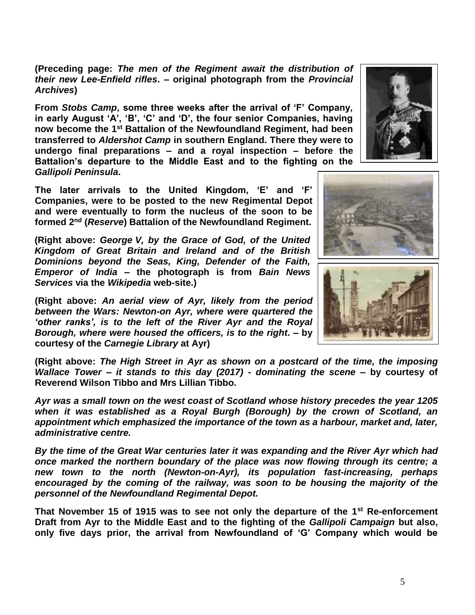5

**(Preceding page:** *The men of the Regiment await the distribution of their new Lee-Enfield rifles***. – original photograph from the** *Provincial Archives***)**

**From** *Stobs Camp***, some three weeks after the arrival of 'F' Company, in early August 'A', 'B', 'C' and 'D', the four senior Companies, having now become the 1st Battalion of the Newfoundland Regiment, had been transferred to** *Aldershot Camp* **in southern England. There they were to undergo final preparations – and a royal inspection – before the Battalion's departure to the Middle East and to the fighting on the**  *Gallipoli Peninsula***.**

**The later arrivals to the United Kingdom, 'E' and 'F' Companies, were to be posted to the new Regimental Depot and were eventually to form the nucleus of the soon to be formed 2nd (***Reserve***) Battalion of the Newfoundland Regiment.** 

**(Right above:** *George V, by the Grace of God, of the United Kingdom of Great Britain and Ireland and of the British Dominions beyond the Seas, King, Defender of the Faith, Emperor of India* **– the photograph is from** *Bain News Services* **via the** *Wikipedia* **web-site.)**

**(Right above:** *An aerial view of Ayr, likely from the period between the Wars: Newton-on Ayr, where were quartered the 'other ranks', is to the left of the River Ayr and the Royal Borough, where were housed the officers, is to the right***. – by courtesy of the** *Carnegie Library* **at Ayr)**

**(Right above:** *The High Street in Ayr as shown on a postcard of the time, the imposing Wallace Tower – it stands to this day (2017) - dominating the scene* **– by courtesy of Reverend Wilson Tibbo and Mrs Lillian Tibbo.**

*Ayr was a small town on the west coast of Scotland whose history precedes the year 1205 when it was established as a Royal Burgh (Borough) by the crown of Scotland, an appointment which emphasized the importance of the town as a harbour, market and, later, administrative centre.* 

*By the time of the Great War centuries later it was expanding and the River Ayr which had once marked the northern boundary of the place was now flowing through its centre; a new town to the north (Newton-on-Ayr), its population fast-increasing, perhaps encouraged by the coming of the railway, was soon to be housing the majority of the personnel of the Newfoundland Regimental Depot.* 

**That November 15 of 1915 was to see not only the departure of the 1st Re-enforcement Draft from Ayr to the Middle East and to the fighting of the** *Gallipoli Campaign* **but also, only five days prior, the arrival from Newfoundland of 'G' Company which would be** 





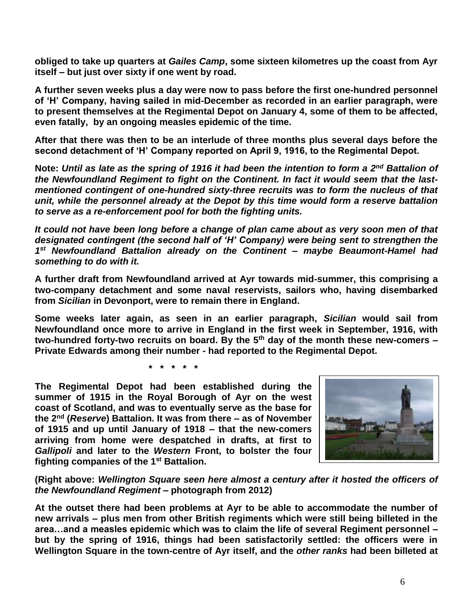**obliged to take up quarters at** *Gailes Camp***, some sixteen kilometres up the coast from Ayr itself – but just over sixty if one went by road.**

**A further seven weeks plus a day were now to pass before the first one-hundred personnel of 'H' Company, having sailed in mid-December as recorded in an earlier paragraph, were to present themselves at the Regimental Depot on January 4, some of them to be affected, even fatally, by an ongoing measles epidemic of the time.**

**After that there was then to be an interlude of three months plus several days before the second detachment of 'H' Company reported on April 9, 1916, to the Regimental Depot.**

**Note:** *Until as late as the spring of 1916 it had been the intention to form a 2nd Battalion of the Newfoundland Regiment to fight on the Continent. In fact it would seem that the lastmentioned contingent of one-hundred sixty-three recruits was to form the nucleus of that unit, while the personnel already at the Depot by this time would form a reserve battalion to serve as a re-enforcement pool for both the fighting units.*

*It could not have been long before a change of plan came about as very soon men of that designated contingent (the second half of 'H' Company) were being sent to strengthen the 1 st Newfoundland Battalion already on the Continent – maybe Beaumont-Hamel had something to do with it.*

**A further draft from Newfoundland arrived at Ayr towards mid-summer, this comprising a two-company detachment and some naval reservists, sailors who, having disembarked from** *Sicilian* **in Devonport, were to remain there in England.** 

**Some weeks later again, as seen in an earlier paragraph,** *Sicilian* **would sail from Newfoundland once more to arrive in England in the first week in September, 1916, with two-hundred forty-two recruits on board. By the 5th day of the month these new-comers – Private Edwards among their number - had reported to the Regimental Depot.**

**\* \* \* \* \***

**The Regimental Depot had been established during the summer of 1915 in the Royal Borough of Ayr on the west coast of Scotland, and was to eventually serve as the base for the 2nd (***Reserve***) Battalion. It was from there – as of November of 1915 and up until January of 1918 – that the new-comers arriving from home were despatched in drafts, at first to**  *Gallipoli* **and later to the** *Western* **Front, to bolster the four fighting companies of the 1st Battalion.** 



**(Right above:** *Wellington Square seen here almost a century after it hosted the officers of the Newfoundland Regiment* **– photograph from 2012)**

**At the outset there had been problems at Ayr to be able to accommodate the number of new arrivals – plus men from other British regiments which were still being billeted in the area…and a measles epidemic which was to claim the life of several Regiment personnel – but by the spring of 1916, things had been satisfactorily settled: the officers were in Wellington Square in the town-centre of Ayr itself, and the** *other ranks* **had been billeted at**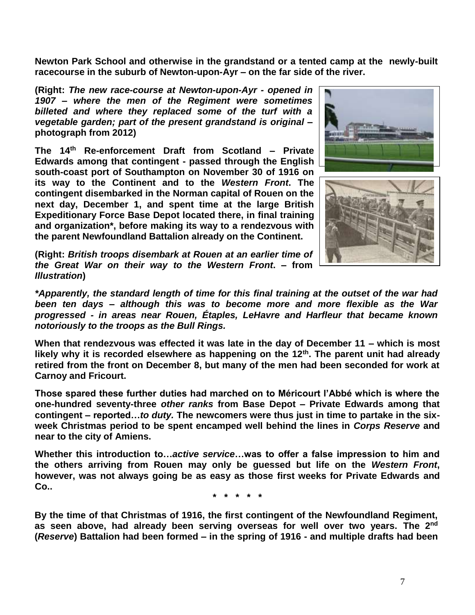**Newton Park School and otherwise in the grandstand or a tented camp at the newly-built racecourse in the suburb of Newton-upon-Ayr – on the far side of the river.** 

**(Right:** *The new race-course at Newton-upon-Ayr - opened in 1907 – where the men of the Regiment were sometimes billeted and where they replaced some of the turf with a vegetable garden; part of the present grandstand is original* **– photograph from 2012)**

**The 14th Re-enforcement Draft from Scotland – Private Edwards among that contingent - passed through the English south-coast port of Southampton on November 30 of 1916 on its way to the Continent and to the** *Western Front***. The contingent disembarked in the Norman capital of Rouen on the next day, December 1, and spent time at the large British Expeditionary Force Base Depot located there, in final training and organization\*, before making its way to a rendezvous with the parent Newfoundland Battalion already on the Continent.**

**(Right:** *British troops disembark at Rouen at an earlier time of the Great War on their way to the Western Front***. – from**  *Illustration***)**





*\*Apparently, the standard length of time for this final training at the outset of the war had been ten days – although this was to become more and more flexible as the War progressed - in areas near Rouen, Étaples, LeHavre and Harfleur that became known notoriously to the troops as the Bull Rings.*

**When that rendezvous was effected it was late in the day of December 11 – which is most likely why it is recorded elsewhere as happening on the 12th. The parent unit had already retired from the front on December 8, but many of the men had been seconded for work at Carnoy and Fricourt.** 

**Those spared these further duties had marched on to Méricourt l'Abbé which is where the one-hundred seventy-three** *other ranks* **from Base Depot – Private Edwards among that contingent – reported…***to duty.* **The newcomers were thus just in time to partake in the sixweek Christmas period to be spent encamped well behind the lines in** *Corps Reserve* **and near to the city of Amiens.**

**Whether this introduction to…***active service***…was to offer a false impression to him and the others arriving from Rouen may only be guessed but life on the** *Western Front***, however, was not always going be as easy as those first weeks for Private Edwards and Co..**

**\* \* \* \* \***

**By the time of that Christmas of 1916, the first contingent of the Newfoundland Regiment, as seen above, had already been serving overseas for well over two years. The 2nd (***Reserve***) Battalion had been formed – in the spring of 1916 - and multiple drafts had been**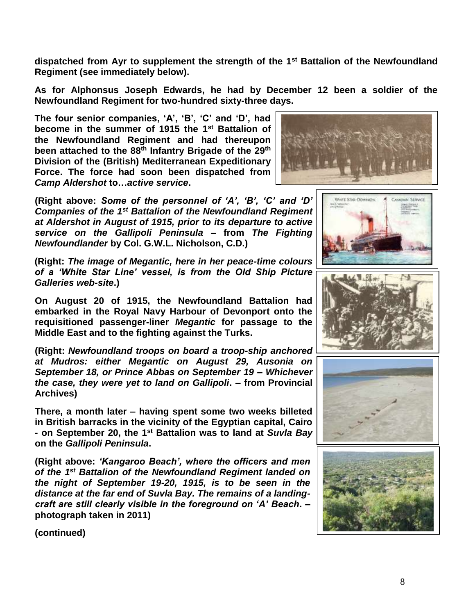**dispatched from Ayr to supplement the strength of the 1st Battalion of the Newfoundland Regiment (see immediately below).** 

**As for Alphonsus Joseph Edwards, he had by December 12 been a soldier of the Newfoundland Regiment for two-hundred sixty-three days.**

**The four senior companies, 'A', 'B', 'C' and 'D', had become in the summer of 1915 the 1st Battalion of the Newfoundland Regiment and had thereupon been attached to the 88th Infantry Brigade of the 29th Division of the (British) Mediterranean Expeditionary Force. The force had soon been dispatched from**  *Camp Aldershot* **to…***active service***.**



**(Right above:** *Some of the personnel of 'A', 'B', 'C' and 'D' Companies of the 1st Battalion of the Newfoundland Regiment at Aldershot in August of 1915, prior to its departure to active service on the Gallipoli Peninsula* **– from** *The Fighting Newfoundlander* **by Col. G.W.L. Nicholson, C.D.)**

**(Right:** *The image of Megantic, here in her peace-time colours of a 'White Star Line' vessel, is from the Old Ship Picture Galleries web-site***.)**

**On August 20 of 1915, the Newfoundland Battalion had embarked in the Royal Navy Harbour of Devonport onto the requisitioned passenger-liner** *Megantic* **for passage to the Middle East and to the fighting against the Turks.** 

**(Right:** *Newfoundland troops on board a troop-ship anchored at Mudros: either Megantic on August 29, Ausonia on September 18, or Prince Abbas on September 19 – Whichever the case, they were yet to land on Gallipoli***. – from Provincial Archives)**

**There, a month later – having spent some two weeks billeted in British barracks in the vicinity of the Egyptian capital, Cairo - on September 20, the 1st Battalion was to land at** *Suvla Bay* **on the** *Gallipoli Peninsula***.**

**(Right above:** *'Kangaroo Beach', where the officers and men of the 1 st Battalion of the Newfoundland Regiment landed on the night of September 19-20, 1915, is to be seen in the distance at the far end of Suvla Bay. The remains of a landingcraft are still clearly visible in the foreground on 'A' Beach***. – photograph taken in 2011)**







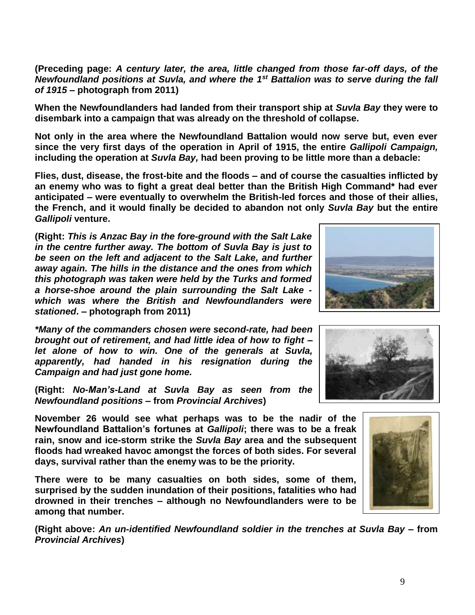**(Preceding page:** *A century later, the area, little changed from those far-off days, of the Newfoundland positions at Suvla, and where the 1st Battalion was to serve during the fall of 1915* **– photograph from 2011)**

**When the Newfoundlanders had landed from their transport ship at** *Suvla Bay* **they were to disembark into a campaign that was already on the threshold of collapse.**

**Not only in the area where the Newfoundland Battalion would now serve but, even ever since the very first days of the operation in April of 1915, the entire** *Gallipoli Campaign,* **including the operation at** *Suvla Bay,* **had been proving to be little more than a debacle:** 

**Flies, dust, disease, the frost-bite and the floods – and of course the casualties inflicted by an enemy who was to fight a great deal better than the British High Command\* had ever anticipated – were eventually to overwhelm the British-led forces and those of their allies, the French, and it would finally be decided to abandon not only** *Suvla Bay* **but the entire**  *Gallipoli* **venture.**

**(Right:** *This is Anzac Bay in the fore-ground with the Salt Lake in the centre further away. The bottom of Suvla Bay is just to be seen on the left and adjacent to the Salt Lake, and further away again. The hills in the distance and the ones from which this photograph was taken were held by the Turks and formed a horse-shoe around the plain surrounding the Salt Lake which was where the British and Newfoundlanders were stationed***. – photograph from 2011)**

*\*Many of the commanders chosen were second-rate, had been brought out of retirement, and had little idea of how to fight – let alone of how to win. One of the generals at Suvla, apparently, had handed in his resignation during the Campaign and had just gone home.* 

**(Right:** *No-Man's-Land at Suvla Bay as seen from the Newfoundland positions* **– from** *Provincial Archives***)**

**November 26 would see what perhaps was to be the nadir of the Newfoundland Battalion's fortunes at** *Gallipoli***; there was to be a freak rain, snow and ice-storm strike the** *Suvla Bay* **area and the subsequent floods had wreaked havoc amongst the forces of both sides. For several days, survival rather than the enemy was to be the priority.**

**There were to be many casualties on both sides, some of them, surprised by the sudden inundation of their positions, fatalities who had drowned in their trenches – although no Newfoundlanders were to be among that number.**

**(Right above:** *An un-identified Newfoundland soldier in the trenches at Suvla Bay –* **from**  *Provincial Archives***)**





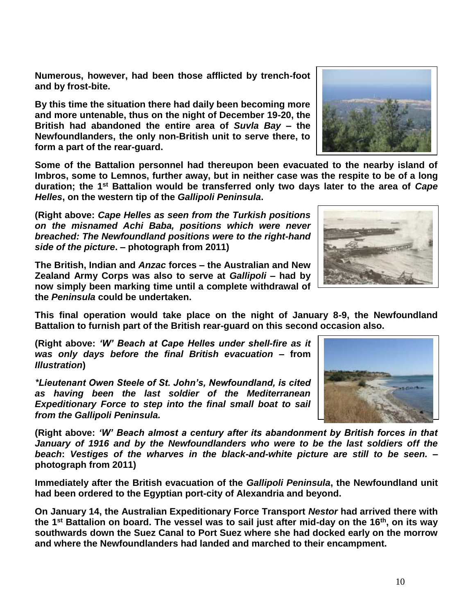10

**Numerous, however, had been those afflicted by trench-foot and by frost-bite.**

**By this time the situation there had daily been becoming more and more untenable, thus on the night of December 19-20, the British had abandoned the entire area of** *Suvla Bay* **– the Newfoundlanders, the only non-British unit to serve there, to form a part of the rear-guard.** 

**Some of the Battalion personnel had thereupon been evacuated to the nearby island of Imbros, some to Lemnos, further away, but in neither case was the respite to be of a long duration; the 1st Battalion would be transferred only two days later to the area of** *Cape Helles***, on the western tip of the** *Gallipoli Peninsula***.**

**(Right above:** *Cape Helles as seen from the Turkish positions on the misnamed Achi Baba, positions which were never breached: The Newfoundland positions were to the right-hand side of the picture***. – photograph from 2011)**

**The British, Indian and** *Anzac* **forces – the Australian and New Zealand Army Corps was also to serve at** *Gallipoli* **– had by now simply been marking time until a complete withdrawal of the** *Peninsula* **could be undertaken.** 

**This final operation would take place on the night of January 8-9, the Newfoundland Battalion to furnish part of the British rear-guard on this second occasion also.**

**(Right above:** *'W' Beach at Cape Helles under shell-fire as it was only days before the final British evacuation* **– from**  *Illustration***)**

*\*Lieutenant Owen Steele of St. John's, Newfoundland, is cited as having been the last soldier of the Mediterranean Expeditionary Force to step into the final small boat to sail from the Gallipoli Peninsula.*

**(Right above:** *'W' Beach almost a century after its abandonment by British forces in that January of 1916 and by the Newfoundlanders who were to be the last soldiers off the beach***:** *Vestiges of the wharves in the black-and-white picture are still to be seen.* **– photograph from 2011)**

**Immediately after the British evacuation of the** *Gallipoli Peninsula***, the Newfoundland unit had been ordered to the Egyptian port-city of Alexandria and beyond.** 

**On January 14, the Australian Expeditionary Force Transport** *Nestor* **had arrived there with the 1st Battalion on board. The vessel was to sail just after mid-day on the 16th, on its way southwards down the Suez Canal to Port Suez where she had docked early on the morrow and where the Newfoundlanders had landed and marched to their encampment.**





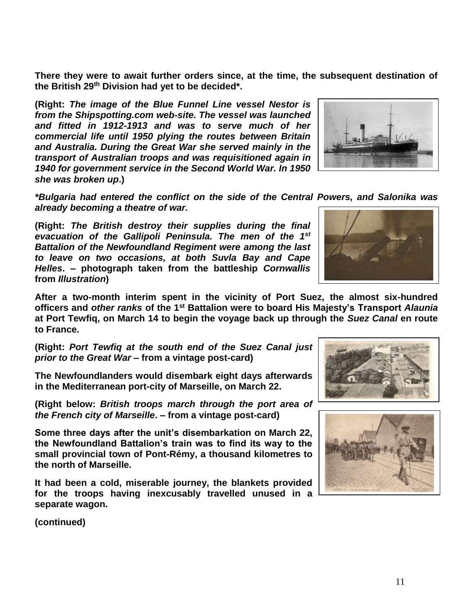**There they were to await further orders since, at the time, the subsequent destination of the British 29th Division had yet to be decided\*.**

**(Right:** *The image of the Blue Funnel Line vessel Nestor is from the Shipspotting.com web-site. The vessel was launched and fitted in 1912-1913 and was to serve much of her commercial life until 1950 plying the routes between Britain and Australia. During the Great War she served mainly in the transport of Australian troops and was requisitioned again in 1940 for government service in the Second World War. In 1950 she was broken up***.)**

*\*Bulgaria had entered the conflict on the side of the Central Powers, and Salonika was already becoming a theatre of war.*

**(Right:** *The British destroy their supplies during the final evacuation of the Gallipoli Peninsula. The men of the 1st Battalion of the Newfoundland Regiment were among the last to leave on two occasions, at both Suvla Bay and Cape Helles***. – photograph taken from the battleship** *Cornwallis* **from** *Illustration***)**

**After a two-month interim spent in the vicinity of Port Suez, the almost six-hundred officers and** *other ranks* **of the 1st Battalion were to board His Majesty's Transport** *Alaunia* **at Port Tewfiq, on March 14 to begin the voyage back up through the** *Suez Canal* **en route to France.**

**(Right:** *Port Tewfiq at the south end of the Suez Canal just prior to the Great War* **– from a vintage post-card)**

**The Newfoundlanders would disembark eight days afterwards in the Mediterranean port-city of Marseille, on March 22.**

**(Right below:** *British troops march through the port area of the French city of Marseille***. – from a vintage post-card)**

**Some three days after the unit's disembarkation on March 22, the Newfoundland Battalion's train was to find its way to the small provincial town of Pont-Rémy, a thousand kilometres to the north of Marseille.** 

**It had been a cold, miserable journey, the blankets provided for the troops having inexcusably travelled unused in a separate wagon.**







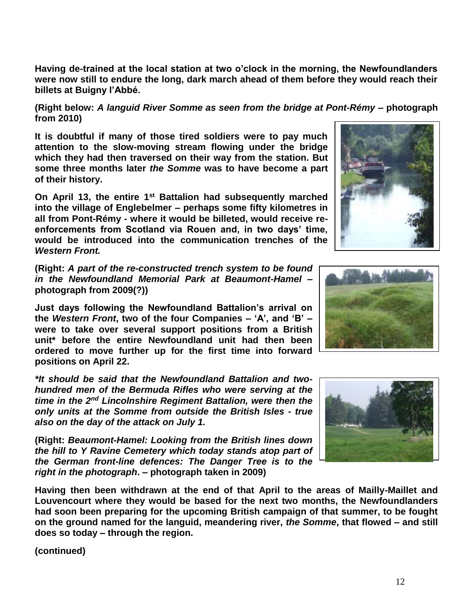**Having de-trained at the local station at two o'clock in the morning, the Newfoundlanders were now still to endure the long, dark march ahead of them before they would reach their billets at Buigny l'Abbé.**

**(Right below:** *A languid River Somme as seen from the bridge at Pont-Rémy* **– photograph from 2010)**

**It is doubtful if many of those tired soldiers were to pay much attention to the slow-moving stream flowing under the bridge which they had then traversed on their way from the station. But some three months later** *the Somme* **was to have become a part of their history.**

**On April 13, the entire 1st Battalion had subsequently marched into the village of Englebelmer – perhaps some fifty kilometres in all from Pont-Rémy - where it would be billeted, would receive reenforcements from Scotland via Rouen and, in two days' time, would be introduced into the communication trenches of the**  *Western Front.*

**(Right:** *A part of the re-constructed trench system to be found in the Newfoundland Memorial Park at Beaumont-Hamel* **– photograph from 2009(?))**

**Just days following the Newfoundland Battalion's arrival on the** *Western Front***, two of the four Companies – 'A', and 'B' – were to take over several support positions from a British unit\* before the entire Newfoundland unit had then been ordered to move further up for the first time into forward positions on April 22.**

*\*It should be said that the Newfoundland Battalion and twohundred men of the Bermuda Rifles who were serving at the time in the 2nd Lincolnshire Regiment Battalion, were then the only units at the Somme from outside the British Isles - true also on the day of the attack on July 1.*

**(Right:** *Beaumont-Hamel: Looking from the British lines down the hill to Y Ravine Cemetery which today stands atop part of the German front-line defences: The Danger Tree is to the right in the photograph***. – photograph taken in 2009)**

**Having then been withdrawn at the end of that April to the areas of Mailly-Maillet and Louvencourt where they would be based for the next two months, the Newfoundlanders had soon been preparing for the upcoming British campaign of that summer, to be fought on the ground named for the languid, meandering river,** *the Somme***, that flowed – and still does so today – through the region.** 





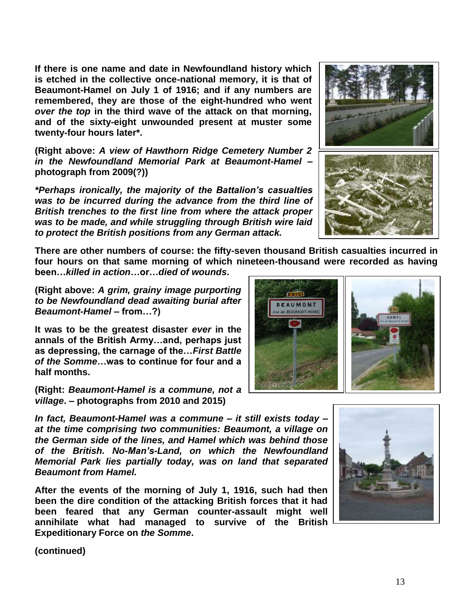**If there is one name and date in Newfoundland history which is etched in the collective once-national memory, it is that of Beaumont-Hamel on July 1 of 1916; and if any numbers are remembered, they are those of the eight-hundred who went**  *over the top* **in the third wave of the attack on that morning, and of the sixty-eight unwounded present at muster some twenty-four hours later\*.**

**(Right above:** *A view of Hawthorn Ridge Cemetery Number 2 in the Newfoundland Memorial Park at Beaumont-Hamel* **– photograph from 2009(?))**

*\*Perhaps ironically, the majority of the Battalion's casualties was to be incurred during the advance from the third line of British trenches to the first line from where the attack proper was to be made, and while struggling through British wire laid to protect the British positions from any German attack.*

**There are other numbers of course: the fifty-seven thousand British casualties incurred in four hours on that same morning of which nineteen-thousand were recorded as having** 

**been…***killed in action***…or…***died of wounds***.** 

**(Right above:** *A grim, grainy image purporting to be Newfoundland dead awaiting burial after Beaumont-Hamel –* **from…?)**

**It was to be the greatest disaster** *ever* **in the annals of the British Army…and, perhaps just as depressing, the carnage of the…***First Battle of the Somme***…was to continue for four and a half months.**

**(Right:** *Beaumont-Hamel is a commune, not a village***. – photographs from 2010 and 2015)**

*In fact, Beaumont-Hamel was a commune – it still exists today – at the time comprising two communities: Beaumont, a village on the German side of the lines, and Hamel which was behind those of the British. No-Man's-Land, on which the Newfoundland Memorial Park lies partially today, was on land that separated Beaumont from Hamel.* 

**After the events of the morning of July 1, 1916, such had then been the dire condition of the attacking British forces that it had been feared that any German counter-assault might well annihilate what had managed to survive of the British Expeditionary Force on** *the Somme***.** 

**(continued)**









13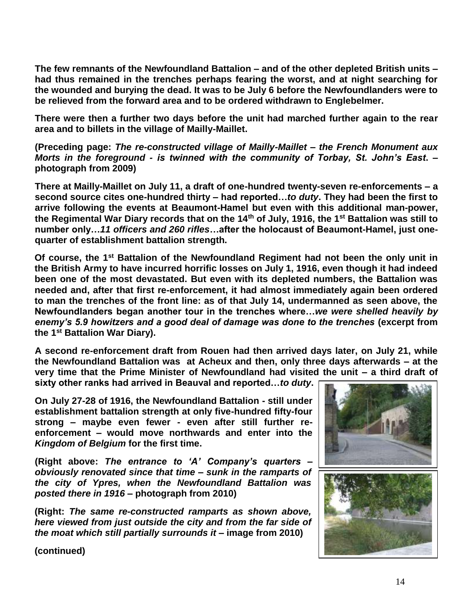**The few remnants of the Newfoundland Battalion – and of the other depleted British units – had thus remained in the trenches perhaps fearing the worst, and at night searching for the wounded and burying the dead. It was to be July 6 before the Newfoundlanders were to be relieved from the forward area and to be ordered withdrawn to Englebelmer.** 

**There were then a further two days before the unit had marched further again to the rear area and to billets in the village of Mailly-Maillet.**

**(Preceding page:** *The re-constructed village of Mailly-Maillet – the French Monument aux Morts in the foreground - is twinned with the community of Torbay, St. John's East***. – photograph from 2009)**

**There at Mailly-Maillet on July 11, a draft of one-hundred twenty-seven re-enforcements – a second source cites one-hundred thirty – had reported…***to duty***. They had been the first to arrive following the events at Beaumont-Hamel but even with this additional man-power, the Regimental War Diary records that on the 14th of July, 1916, the 1st Battalion was still to number only…***11 officers and 260 rifles***…after the holocaust of Beaumont-Hamel, just onequarter of establishment battalion strength.**

**Of course, the 1st Battalion of the Newfoundland Regiment had not been the only unit in the British Army to have incurred horrific losses on July 1, 1916, even though it had indeed been one of the most devastated. But even with its depleted numbers, the Battalion was needed and, after that first re-enforcement, it had almost immediately again been ordered to man the trenches of the front line: as of that July 14, undermanned as seen above, the Newfoundlanders began another tour in the trenches where…***we were shelled heavily by enemy's 5.9 howitzers and a good deal of damage was done to the trenches* **(excerpt from the 1st Battalion War Diary).**

**A second re-enforcement draft from Rouen had then arrived days later, on July 21, while the Newfoundland Battalion was at Acheux and then, only three days afterwards – at the very time that the Prime Minister of Newfoundland had visited the unit – a third draft of sixty other ranks had arrived in Beauval and reported…***to duty***.** 

**On July 27-28 of 1916, the Newfoundland Battalion - still under establishment battalion strength at only five-hundred fifty-four strong – maybe even fewer - even after still further reenforcement – would move northwards and enter into the**  *Kingdom of Belgium* **for the first time.** 

**(Right above:** *The entrance to 'A' Company's quarters – obviously renovated since that time – sunk in the ramparts of the city of Ypres, when the Newfoundland Battalion was posted there in 1916 –* **photograph from 2010)**

**(Right:** *The same re-constructed ramparts as shown above, here viewed from just outside the city and from the far side of the moat which still partially surrounds it* **– image from 2010)**

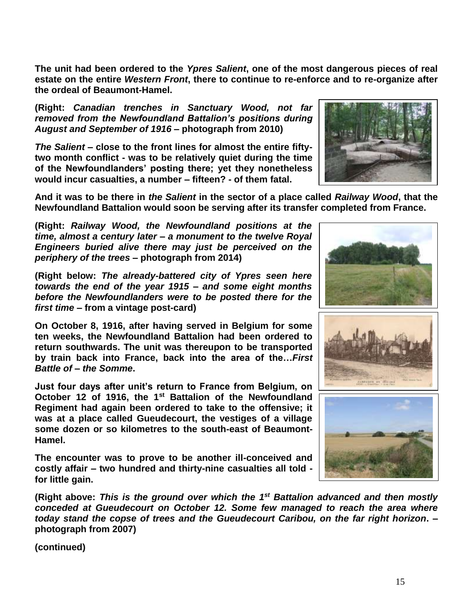**The unit had been ordered to the** *Ypres Salient***, one of the most dangerous pieces of real estate on the entire** *Western Front***, there to continue to re-enforce and to re-organize after the ordeal of Beaumont-Hamel.** 

**(Right:** *Canadian trenches in Sanctuary Wood, not far removed from the Newfoundland Battalion's positions during August and September of 1916* **– photograph from 2010)**

*The Salient* **– close to the front lines for almost the entire fiftytwo month conflict - was to be relatively quiet during the time of the Newfoundlanders' posting there; yet they nonetheless would incur casualties, a number – fifteen? - of them fatal.**

**And it was to be there in** *the Salient* **in the sector of a place called** *Railway Wood***, that the Newfoundland Battalion would soon be serving after its transfer completed from France.**

**(Right:** *Railway Wood, the Newfoundland positions at the time, almost a century later – a monument to the twelve Royal Engineers buried alive there may just be perceived on the periphery of the trees* **– photograph from 2014)**

**(Right below:** *The already-battered city of Ypres seen here towards the end of the year 1915 – and some eight months before the Newfoundlanders were to be posted there for the first time* **– from a vintage post-card)**

**On October 8, 1916, after having served in Belgium for some ten weeks, the Newfoundland Battalion had been ordered to return southwards. The unit was thereupon to be transported by train back into France, back into the area of the…***First Battle of* **–** *the Somme***.**

**Just four days after unit's return to France from Belgium, on October 12 of 1916, the 1st Battalion of the Newfoundland Regiment had again been ordered to take to the offensive; it was at a place called Gueudecourt, the vestiges of a village some dozen or so kilometres to the south-east of Beaumont-Hamel.**

**The encounter was to prove to be another ill-conceived and costly affair – two hundred and thirty-nine casualties all told for little gain.** 

(Right above: This is the ground over which the 1<sup>st</sup> Battalion advanced and then mostly *conceded at Gueudecourt on October 12. Some few managed to reach the area where today stand the copse of trees and the Gueudecourt Caribou, on the far right horizon***. – photograph from 2007)**





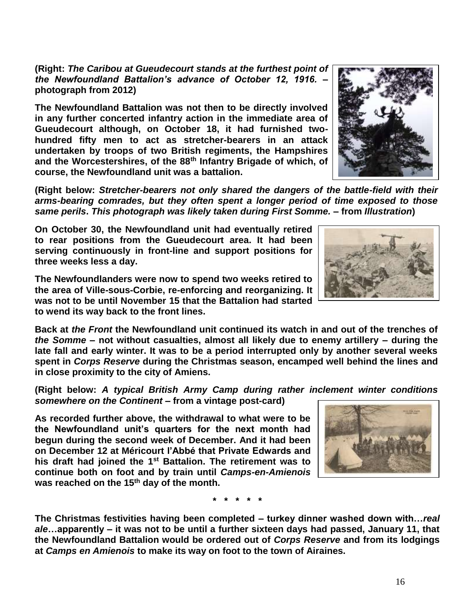**(Right:** *The Caribou at Gueudecourt stands at the furthest point of the Newfoundland Battalion's advance of October 12, 1916.* **– photograph from 2012)**

**The Newfoundland Battalion was not then to be directly involved in any further concerted infantry action in the immediate area of Gueudecourt although, on October 18, it had furnished twohundred fifty men to act as stretcher-bearers in an attack undertaken by troops of two British regiments, the Hampshires and the Worcestershires, of the 88th Infantry Brigade of which, of course, the Newfoundland unit was a battalion.**

**(Right below:** *Stretcher-bearers not only shared the dangers of the battle-field with their arms-bearing comrades, but they often spent a longer period of time exposed to those same perils***.** *This photograph was likely taken during First Somme.* **– from** *Illustration***)**

**On October 30, the Newfoundland unit had eventually retired to rear positions from the Gueudecourt area. It had been serving continuously in front-line and support positions for three weeks less a day.**

**The Newfoundlanders were now to spend two weeks retired to the area of Ville-sous-Corbie, re-enforcing and reorganizing. It was not to be until November 15 that the Battalion had started to wend its way back to the front lines.** 

**Back at** *the Front* **the Newfoundland unit continued its watch in and out of the trenches of**  *the Somme* **– not without casualties, almost all likely due to enemy artillery – during the late fall and early winter. It was to be a period interrupted only by another several weeks spent in** *Corps Reserve* **during the Christmas season, encamped well behind the lines and in close proximity to the city of Amiens.**

**(Right below:** *A typical British Army Camp during rather inclement winter conditions somewhere on the Continent* **– from a vintage post-card)** 

**As recorded further above, the withdrawal to what were to be the Newfoundland unit's quarters for the next month had begun during the second week of December. And it had been on December 12 at Méricourt l'Abbé that Private Edwards and his draft had joined the 1st Battalion. The retirement was to continue both on foot and by train until** *Camps-en-Amienois* **was reached on the 15th day of the month.** 

**\* \* \* \* \***

**The Christmas festivities having been completed – turkey dinner washed down with…***real ale***…apparently – it was not to be until a further sixteen days had passed, January 11, that the Newfoundland Battalion would be ordered out of** *Corps Reserve* **and from its lodgings at** *Camps en Amienois* **to make its way on foot to the town of Airaines.**





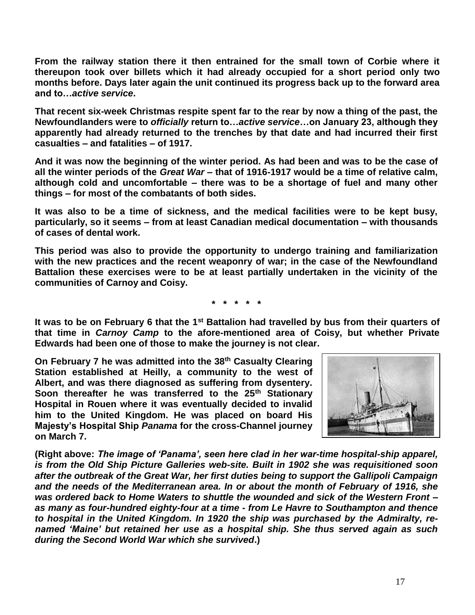**From the railway station there it then entrained for the small town of Corbie where it thereupon took over billets which it had already occupied for a short period only two months before. Days later again the unit continued its progress back up to the forward area and to…***active service***.**

**That recent six-week Christmas respite spent far to the rear by now a thing of the past, the Newfoundlanders were to** *officially* **return to…***active service***…on January 23, although they apparently had already returned to the trenches by that date and had incurred their first casualties – and fatalities – of 1917.**

**And it was now the beginning of the winter period. As had been and was to be the case of all the winter periods of the** *Great War* **– that of 1916-1917 would be a time of relative calm, although cold and uncomfortable – there was to be a shortage of fuel and many other things – for most of the combatants of both sides.** 

**It was also to be a time of sickness, and the medical facilities were to be kept busy, particularly, so it seems – from at least Canadian medical documentation – with thousands of cases of dental work.**

**This period was also to provide the opportunity to undergo training and familiarization with the new practices and the recent weaponry of war; in the case of the Newfoundland Battalion these exercises were to be at least partially undertaken in the vicinity of the communities of Carnoy and Coisy.** 

**\* \* \* \* \***

**It was to be on February 6 that the 1st Battalion had travelled by bus from their quarters of that time in** *Carnoy Camp* **to the afore-mentioned area of Coisy, but whether Private Edwards had been one of those to make the journey is not clear.**

**On February 7 he was admitted into the 38th Casualty Clearing Station established at Heilly, a community to the west of Albert, and was there diagnosed as suffering from dysentery. Soon thereafter he was transferred to the 25th Stationary Hospital in Rouen where it was eventually decided to invalid him to the United Kingdom. He was placed on board His Majesty's Hospital Ship** *Panama* **for the cross-Channel journey on March 7.**



**(Right above:** *The image of 'Panama', seen here clad in her war-time hospital-ship apparel, is from the Old Ship Picture Galleries web-site. Built in 1902 she was requisitioned soon after the outbreak of the Great War, her first duties being to support the Gallipoli Campaign and the needs of the Mediterranean area. In or about the month of February of 1916, she was ordered back to Home Waters to shuttle the wounded and sick of the Western Front – as many as four-hundred eighty-four at a time - from Le Havre to Southampton and thence to hospital in the United Kingdom. In 1920 the ship was purchased by the Admiralty, renamed 'Maine' but retained her use as a hospital ship. She thus served again as such during the Second World War which she survived***.)**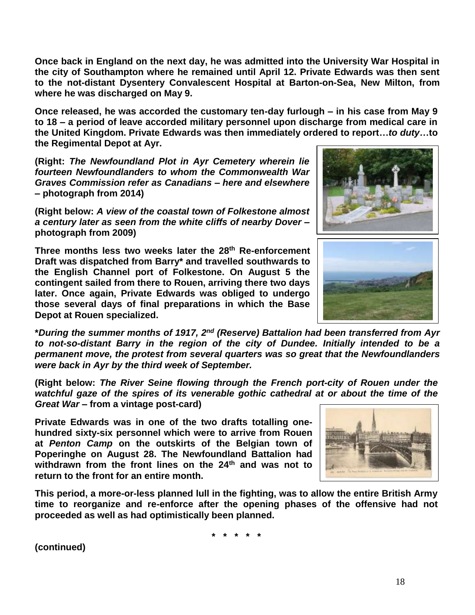18

**Once back in England on the next day, he was admitted into the University War Hospital in the city of Southampton where he remained until April 12. Private Edwards was then sent to the not-distant Dysentery Convalescent Hospital at Barton-on-Sea, New Milton, from where he was discharged on May 9.**

**Once released, he was accorded the customary ten-day furlough – in his case from May 9 to 18 – a period of leave accorded military personnel upon discharge from medical care in the United Kingdom. Private Edwards was then immediately ordered to report…***to duty***…to the Regimental Depot at Ayr.**

**(Right:** *The Newfoundland Plot in Ayr Cemetery wherein lie fourteen Newfoundlanders to whom the Commonwealth War Graves Commission refer as Canadians – here and elsewhere*  **– photograph from 2014)**

**(Right below:** *A view of the coastal town of Folkestone almost a century later as seen from the white cliffs of nearby Dover* **– photograph from 2009)**

**Three months less two weeks later the 28th Re-enforcement Draft was dispatched from Barry\* and travelled southwards to the English Channel port of Folkestone. On August 5 the contingent sailed from there to Rouen, arriving there two days later. Once again, Private Edwards was obliged to undergo those several days of final preparations in which the Base Depot at Rouen specialized.**

**\****During the summer months of 1917, 2nd (Reserve) Battalion had been transferred from Ayr to not-so-distant Barry in the region of the city of Dundee. Initially intended to be a permanent move, the protest from several quarters was so great that the Newfoundlanders were back in Ayr by the third week of September.*

**(Right below:** *The River Seine flowing through the French port-city of Rouen under the watchful gaze of the spires of its venerable gothic cathedral at or about the time of the Great War* **– from a vintage post-card)**

**Private Edwards was in one of the two drafts totalling onehundred sixty-six personnel which were to arrive from Rouen at** *Penton Camp* **on the outskirts of the Belgian town of Poperinghe on August 28. The Newfoundland Battalion had withdrawn from the front lines on the 24th and was not to return to the front for an entire month.** 

**This period, a more-or-less planned lull in the fighting, was to allow the entire British Army time to reorganize and re-enforce after the opening phases of the offensive had not proceeded as well as had optimistically been planned.**

**\* \* \* \* \***





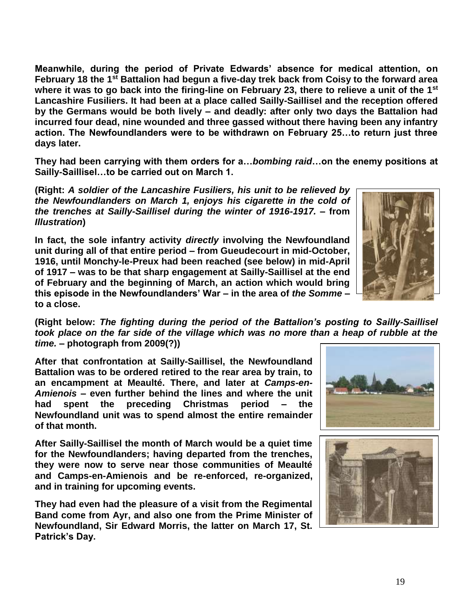**Meanwhile, during the period of Private Edwards' absence for medical attention, on February 18 the 1st Battalion had begun a five-day trek back from Coisy to the forward area where it was to go back into the firing-line on February 23, there to relieve a unit of the 1st Lancashire Fusiliers. It had been at a place called Sailly-Saillisel and the reception offered by the Germans would be both lively – and deadly: after only two days the Battalion had incurred four dead, nine wounded and three gassed without there having been any infantry action. The Newfoundlanders were to be withdrawn on February 25…to return just three days later.**

**They had been carrying with them orders for a…***bombing raid***…on the enemy positions at Sailly-Saillisel…to be carried out on March 1.**

**(Right:** *A soldier of the Lancashire Fusiliers, his unit to be relieved by the Newfoundlanders on March 1, enjoys his cigarette in the cold of the trenches at Sailly-Saillisel during the winter of 1916-1917. –* **from**  *Illustration***)**

**In fact, the sole infantry activity** *directly* **involving the Newfoundland unit during all of that entire period – from Gueudecourt in mid-October, 1916, until Monchy-le-Preux had been reached (see below) in mid-April of 1917 – was to be that sharp engagement at Sailly-Saillisel at the end of February and the beginning of March, an action which would bring this episode in the Newfoundlanders' War – in the area of** *the Somme* **– to a close.**



**(Right below:** *The fighting during the period of the Battalion's posting to Sailly-Saillisel took place on the far side of the village which was no more than a heap of rubble at the time.* **– photograph from 2009(?))**

**After that confrontation at Sailly-Saillisel, the Newfoundland Battalion was to be ordered retired to the rear area by train, to an encampment at Meaulté. There, and later at** *Camps-en-Amienois* **– even further behind the lines and where the unit had spent the preceding Christmas period – the Newfoundland unit was to spend almost the entire remainder of that month.**

**After Sailly-Saillisel the month of March would be a quiet time for the Newfoundlanders; having departed from the trenches, they were now to serve near those communities of Meaulté and Camps-en-Amienois and be re-enforced, re-organized, and in training for upcoming events.**

**They had even had the pleasure of a visit from the Regimental Band come from Ayr, and also one from the Prime Minister of Newfoundland, Sir Edward Morris, the latter on March 17, St. Patrick's Day.**



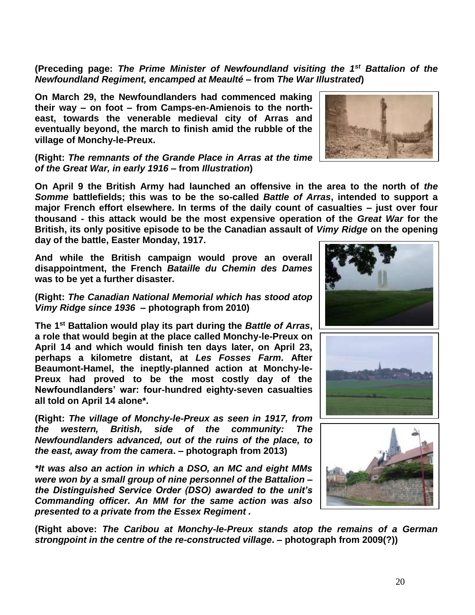**(Preceding page:** *The Prime Minister of Newfoundland visiting the 1st Battalion of the Newfoundland Regiment, encamped at Meaulté* **– from** *The War Illustrated***)**

**On March 29, the Newfoundlanders had commenced making their way – on foot – from Camps-en-Amienois to the northeast, towards the venerable medieval city of Arras and eventually beyond, the march to finish amid the rubble of the village of Monchy-le-Preux.** 

**(Right:** *The remnants of the Grande Place in Arras at the time of the Great War, in early 1916* **– from** *Illustration***)**

**On April 9 the British Army had launched an offensive in the area to the north of** *the Somme* **battlefields; this was to be the so-called** *Battle of Arras***, intended to support a major French effort elsewhere. In terms of the daily count of casualties – just over four thousand - this attack would be the most expensive operation of the** *Great War* **for the British, its only positive episode to be the Canadian assault of** *Vimy Ridge* **on the opening day of the battle, Easter Monday, 1917.** 

**And while the British campaign would prove an overall disappointment, the French** *Bataille du Chemin des Dames* **was to be yet a further disaster.**

## **(Right:** *The Canadian National Memorial which has stood atop Vimy Ridge since 1936* **– photograph from 2010)**

**The 1st Battalion would play its part during the** *Battle of Arras***, a role that would begin at the place called Monchy-le-Preux on April 14 and which would finish ten days later, on April 23, perhaps a kilometre distant, at** *Les Fosses Farm***. After Beaumont-Hamel, the ineptly-planned action at Monchy-le-Preux had proved to be the most costly day of the Newfoundlanders' war: four-hundred eighty-seven casualties all told on April 14 alone\*.**

**(Right:** *The village of Monchy-le-Preux as seen in 1917, from the western, British, side of the community: The Newfoundlanders advanced, out of the ruins of the place, to the east, away from the camera***. – photograph from 2013)**

*\*It was also an action in which a DSO, an MC and eight MMs were won by a small group of nine personnel of the Battalion – the Distinguished Service Order (DSO) awarded to the unit's Commanding officer. An MM for the same action was also presented to a private from the Essex Regiment .*

**(Right above:** *The Caribou at Monchy-le-Preux stands atop the remains of a German strongpoint in the centre of the re-constructed village***. – photograph from 2009(?))** 







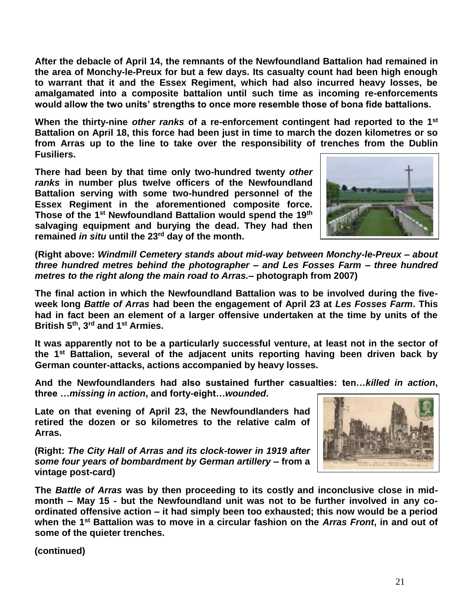**After the debacle of April 14, the remnants of the Newfoundland Battalion had remained in the area of Monchy-le-Preux for but a few days. Its casualty count had been high enough to warrant that it and the Essex Regiment, which had also incurred heavy losses, be amalgamated into a composite battalion until such time as incoming re-enforcements would allow the two units' strengths to once more resemble those of bona fide battalions.**

**When the thirty-nine** *other ranks* **of a re-enforcement contingent had reported to the 1st Battalion on April 18, this force had been just in time to march the dozen kilometres or so from Arras up to the line to take over the responsibility of trenches from the Dublin Fusiliers.** 

**There had been by that time only two-hundred twenty** *other ranks* **in number plus twelve officers of the Newfoundland Battalion serving with some two-hundred personnel of the Essex Regiment in the aforementioned composite force. Those of the 1st Newfoundland Battalion would spend the 19th salvaging equipment and burying the dead. They had then remained** *in situ* **until the 23rd day of the month.**



**(Right above:** *Windmill Cemetery stands about mid-way between Monchy-le-Preux – about three hundred metres behind the photographer – and Les Fosses Farm – three hundred metres to the right along the main road to Arras.***– photograph from 2007)**

**The final action in which the Newfoundland Battalion was to be involved during the fiveweek long** *Battle of Arras* **had been the engagement of April 23 at** *Les Fosses Farm***. This had in fact been an element of a larger offensive undertaken at the time by units of the British 5th, 3rd and 1st Armies.**

**It was apparently not to be a particularly successful venture, at least not in the sector of the 1st Battalion, several of the adjacent units reporting having been driven back by German counter-attacks, actions accompanied by heavy losses.**

**And the Newfoundlanders had also sustained further casualties: ten…***killed in action***, three …***missing in action***, and forty-eight…***wounded***.**

**Late on that evening of April 23, the Newfoundlanders had retired the dozen or so kilometres to the relative calm of Arras.** 

**(Right:** *The City Hall of Arras and its clock-tower in 1919 after some four years of bombardment by German artillery* **– from a vintage post-card)** 



**The** *Battle of Arras* **was by then proceeding to its costly and inconclusive close in midmonth – May 15 - but the Newfoundland unit was not to be further involved in any coordinated offensive action – it had simply been too exhausted; this now would be a period when the 1st Battalion was to move in a circular fashion on the** *Arras Front***, in and out of some of the quieter trenches.**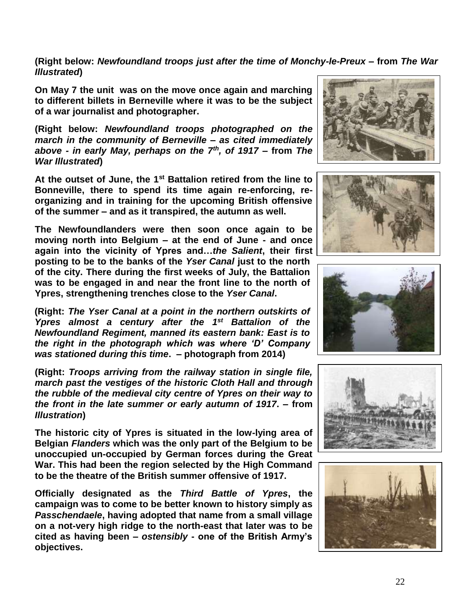**(Right below:** *Newfoundland troops just after the time of Monchy-le-Preux* **– from** *The War Illustrated***)**

**On May 7 the unit was on the move once again and marching to different billets in Berneville where it was to be the subject of a war journalist and photographer.**

**(Right below:** *Newfoundland troops photographed on the march in the community of Berneville – as cited immediately above - in early May, perhaps on the 7th , of 1917* **– from** *The War Illustrated***)**

**At the outset of June, the 1st Battalion retired from the line to Bonneville, there to spend its time again re-enforcing, reorganizing and in training for the upcoming British offensive of the summer – and as it transpired, the autumn as well.**

**The Newfoundlanders were then soon once again to be moving north into Belgium – at the end of June - and once again into the vicinity of Ypres and…***the Salient***, their first posting to be to the banks of the** *Yser Canal* **just to the north of the city. There during the first weeks of July, the Battalion was to be engaged in and near the front line to the north of Ypres, strengthening trenches close to the** *Yser Canal***.** 

**(Right:** *The Yser Canal at a point in the northern outskirts of Ypres almost a century after the 1st Battalion of the Newfoundland Regiment, manned its eastern bank: East is to the right in the photograph which was where 'D' Company was stationed during this time***. – photograph from 2014)**

**(Right:** *Troops arriving from the railway station in single file, march past the vestiges of the historic Cloth Hall and through the rubble of the medieval city centre of Ypres on their way to the front in the late summer or early autumn of 1917***. – from**  *Illustration***)**

**The historic city of Ypres is situated in the low-lying area of Belgian** *Flanders* **which was the only part of the Belgium to be unoccupied un-occupied by German forces during the Great War. This had been the region selected by the High Command to be the theatre of the British summer offensive of 1917.**

**Officially designated as the** *Third Battle of Ypres***, the campaign was to come to be better known to history simply as**  *Passchendaele***, having adopted that name from a small village on a not-very high ridge to the north-east that later was to be cited as having been –** *ostensibly* **- one of the British Army's objectives.**









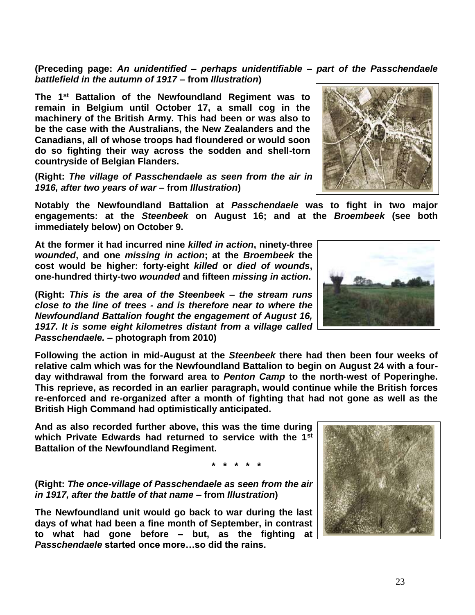23

**(Preceding page:** *An unidentified – perhaps unidentifiable – part of the Passchendaele battlefield in the autumn of 1917* **– from** *Illustration***)**

**The 1st Battalion of the Newfoundland Regiment was to remain in Belgium until October 17, a small cog in the machinery of the British Army. This had been or was also to be the case with the Australians, the New Zealanders and the Canadians, all of whose troops had floundered or would soon do so fighting their way across the sodden and shell-torn countryside of Belgian Flanders.** 

**(Right:** *The village of Passchendaele as seen from the air in 1916, after two years of war* **– from** *Illustration***)**

**Notably the Newfoundland Battalion at** *Passchendaele* **was to fight in two major engagements: at the** *Steenbeek* **on August 16; and at the** *Broembeek* **(see both immediately below) on October 9.** 

**At the former it had incurred nine** *killed in action***, ninety-three**  *wounded***, and one** *missing in action***; at the** *Broembeek* **the cost would be higher: forty-eight** *killed* **or** *died of wounds***, one-hundred thirty-two** *wounded* **and fifteen** *missing in action***.**

**(Right:** *This is the area of the Steenbeek – the stream runs close to the line of trees - and is therefore near to where the Newfoundland Battalion fought the engagement of August 16, 1917. It is some eight kilometres distant from a village called Passchendaele.* **– photograph from 2010)**

**Following the action in mid-August at the** *Steenbeek* **there had then been four weeks of relative calm which was for the Newfoundland Battalion to begin on August 24 with a fourday withdrawal from the forward area to** *Penton Camp* **to the north-west of Poperinghe. This reprieve, as recorded in an earlier paragraph, would continue while the British forces re-enforced and re-organized after a month of fighting that had not gone as well as the British High Command had optimistically anticipated.**

**And as also recorded further above, this was the time during which Private Edwards had returned to service with the 1st Battalion of the Newfoundland Regiment.**

**\* \* \* \* \*** 

**(Right:** *The once-village of Passchendaele as seen from the air in 1917, after the battle of that name* **– from** *Illustration***)**

**The Newfoundland unit would go back to war during the last days of what had been a fine month of September, in contrast to what had gone before – but, as the fighting at**  *Passchendaele* **started once more…so did the rains.** 





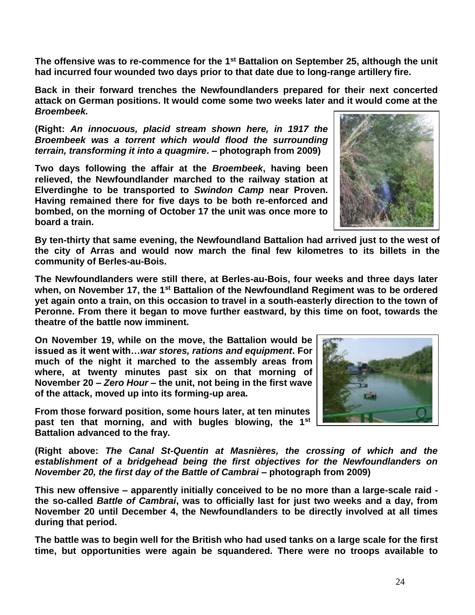24

**The offensive was to re-commence for the 1st Battalion on September 25, although the unit had incurred four wounded two days prior to that date due to long-range artillery fire.** 

**Back in their forward trenches the Newfoundlanders prepared for their next concerted attack on German positions. It would come some two weeks later and it would come at the**  *Broembeek.*

**(Right:** *An innocuous, placid stream shown here, in 1917 the Broembeek was a torrent which would flood the surrounding terrain, transforming it into a quagmire***. – photograph from 2009)**

**Two days following the affair at the** *Broembeek***, having been relieved, the Newfoundlander marched to the railway station at Elverdinghe to be transported to** *Swindon Camp* **near Proven. Having remained there for five days to be both re-enforced and bombed, on the morning of October 17 the unit was once more to board a train.** 

**By ten-thirty that same evening, the Newfoundland Battalion had arrived just to the west of the city of Arras and would now march the final few kilometres to its billets in the community of Berles-au-Bois.**

**The Newfoundlanders were still there, at Berles-au-Bois, four weeks and three days later when, on November 17, the 1st Battalion of the Newfoundland Regiment was to be ordered yet again onto a train, on this occasion to travel in a south-easterly direction to the town of Peronne. From there it began to move further eastward, by this time on foot, towards the theatre of the battle now imminent.** 

**On November 19, while on the move, the Battalion would be issued as it went with…***war stores, rations and equipment***. For much of the night it marched to the assembly areas from where, at twenty minutes past six on that morning of November 20 –** *Zero Hour* **– the unit, not being in the first wave of the attack, moved up into its forming-up area.** 

**From those forward position, some hours later, at ten minutes past ten that morning, and with bugles blowing, the 1st Battalion advanced to the fray.**

**(Right above:** *The Canal St-Quentin at Masnières, the crossing of which and the establishment of a bridgehead being the first objectives for the Newfoundlanders on November 20, the first day of the Battle of Cambrai* **– photograph from 2009)**

**This new offensive – apparently initially conceived to be no more than a large-scale raid the so-called** *Battle of Cambrai***, was to officially last for just two weeks and a day, from November 20 until December 4, the Newfoundlanders to be directly involved at all times during that period.** 

**The battle was to begin well for the British who had used tanks on a large scale for the first time, but opportunities were again be squandered. There were no troops available to** 



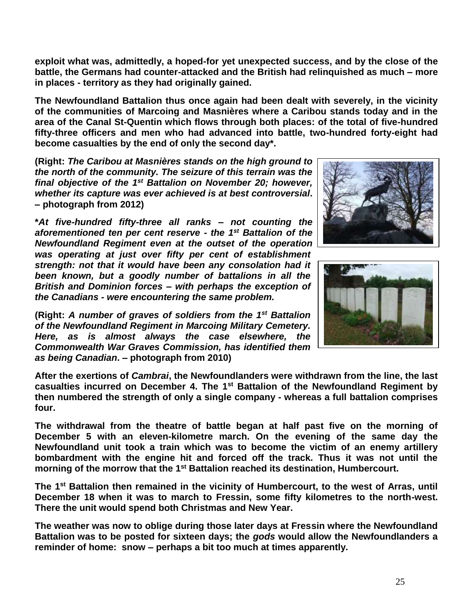**exploit what was, admittedly, a hoped-for yet unexpected success, and by the close of the battle, the Germans had counter-attacked and the British had relinquished as much – more in places - territory as they had originally gained.** 

**The Newfoundland Battalion thus once again had been dealt with severely, in the vicinity of the communities of Marcoing and Masnières where a Caribou stands today and in the area of the Canal St-Quentin which flows through both places: of the total of five-hundred fifty-three officers and men who had advanced into battle, two-hundred forty-eight had become casualties by the end of only the second day\*.**

**(Right:** *The Caribou at Masnières stands on the high ground to the north of the community. The seizure of this terrain was the*  final objective of the 1<sup>st</sup> Battalion on November 20; however, *whether its capture was ever achieved is at best controversial***. – photograph from 2012)**

**\****At five-hundred fifty-three all ranks – not counting the aforementioned ten per cent reserve - the 1st Battalion of the Newfoundland Regiment even at the outset of the operation was operating at just over fifty per cent of establishment strength: not that it would have been any consolation had it been known, but a goodly number of battalions in all the British and Dominion forces – with perhaps the exception of the Canadians - were encountering the same problem.*

**(Right:** *A number of graves of soldiers from the 1st Battalion of the Newfoundland Regiment in Marcoing Military Cemetery. Here, as is almost always the case elsewhere, the Commonwealth War Graves Commission, has identified them as being Canadian***. – photograph from 2010)**





**After the exertions of** *Cambrai***, the Newfoundlanders were withdrawn from the line, the last casualties incurred on December 4. The 1st Battalion of the Newfoundland Regiment by then numbered the strength of only a single company - whereas a full battalion comprises four.** 

**The withdrawal from the theatre of battle began at half past five on the morning of December 5 with an eleven-kilometre march. On the evening of the same day the Newfoundland unit took a train which was to become the victim of an enemy artillery bombardment with the engine hit and forced off the track. Thus it was not until the morning of the morrow that the 1st Battalion reached its destination, Humbercourt.**

**The 1st Battalion then remained in the vicinity of Humbercourt, to the west of Arras, until December 18 when it was to march to Fressin, some fifty kilometres to the north-west. There the unit would spend both Christmas and New Year.** 

**The weather was now to oblige during those later days at Fressin where the Newfoundland Battalion was to be posted for sixteen days; the** *gods* **would allow the Newfoundlanders a reminder of home: snow – perhaps a bit too much at times apparently.**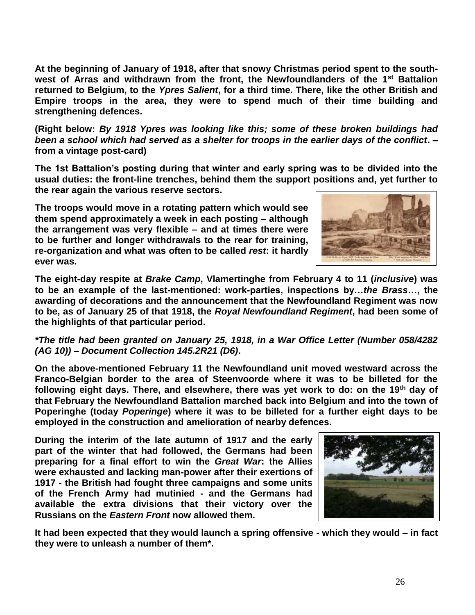**At the beginning of January of 1918, after that snowy Christmas period spent to the southwest of Arras and withdrawn from the front, the Newfoundlanders of the 1st Battalion returned to Belgium, to the** *Ypres Salient***, for a third time. There, like the other British and Empire troops in the area, they were to spend much of their time building and strengthening defences.**

**(Right below:** *By 1918 Ypres was looking like this; some of these broken buildings had been a school which had served as a shelter for troops in the earlier days of the conflict***. – from a vintage post-card)**

**The 1st Battalion's posting during that winter and early spring was to be divided into the usual duties: the front-line trenches, behind them the support positions and, yet further to the rear again the various reserve sectors.** 

**The troops would move in a rotating pattern which would see them spend approximately a week in each posting – although the arrangement was very flexible – and at times there were to be further and longer withdrawals to the rear for training, re-organization and what was often to be called** *rest***: it hardly ever was.** 



**The eight-day respite at** *Brake Camp***, Vlamertinghe from February 4 to 11 (***inclusive***) was to be an example of the last-mentioned: work-parties, inspections by…***the Brass…***, the awarding of decorations and the announcement that the Newfoundland Regiment was now to be, as of January 25 of that 1918, the** *Royal Newfoundland Regiment***, had been some of the highlights of that particular period.**

## *\*The title had been granted on January 25, 1918, in a War Office Letter (Number 058/4282 (AG 10)) – Document Collection 145.2R21 (D6)***.**

**On the above-mentioned February 11 the Newfoundland unit moved westward across the Franco-Belgian border to the area of Steenvoorde where it was to be billeted for the following eight days. There, and elsewhere, there was yet work to do: on the 19th day of that February the Newfoundland Battalion marched back into Belgium and into the town of Poperinghe (today** *Poperinge***) where it was to be billeted for a further eight days to be employed in the construction and amelioration of nearby defences.**

**During the interim of the late autumn of 1917 and the early part of the winter that had followed, the Germans had been preparing for a final effort to win the** *Great War***: the Allies were exhausted and lacking man-power after their exertions of 1917 - the British had fought three campaigns and some units of the French Army had mutinied - and the Germans had available the extra divisions that their victory over the Russians on the** *Eastern Front* **now allowed them.**



**It had been expected that they would launch a spring offensive - which they would – in fact they were to unleash a number of them\*.**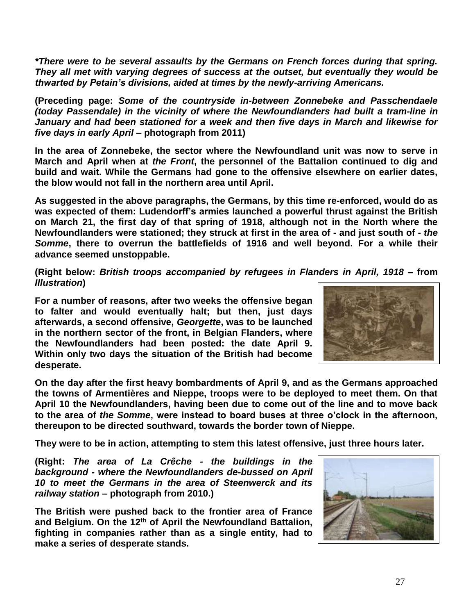*\*There were to be several assaults by the Germans on French forces during that spring. They all met with varying degrees of success at the outset, but eventually they would be thwarted by Petain's divisions, aided at times by the newly-arriving Americans.*

**(Preceding page:** *Some of the countryside in-between Zonnebeke and Passchendaele (today Passendale) in the vicinity of where the Newfoundlanders had built a tram-line in January and had been stationed for a week and then five days in March and likewise for five days in early April* **– photograph from 2011)**

**In the area of Zonnebeke, the sector where the Newfoundland unit was now to serve in March and April when at** *the Front***, the personnel of the Battalion continued to dig and build and wait. While the Germans had gone to the offensive elsewhere on earlier dates, the blow would not fall in the northern area until April.**

**As suggested in the above paragraphs, the Germans, by this time re-enforced, would do as was expected of them: Ludendorff's armies launched a powerful thrust against the British on March 21, the first day of that spring of 1918, although not in the North where the Newfoundlanders were stationed; they struck at first in the area of - and just south of -** *the Somme***, there to overrun the battlefields of 1916 and well beyond. For a while their advance seemed unstoppable.**

**(Right below:** *British troops accompanied by refugees in Flanders in April, 1918* **– from**  *Illustration***)**

**For a number of reasons, after two weeks the offensive began to falter and would eventually halt; but then, just days afterwards, a second offensive,** *Georgette***, was to be launched in the northern sector of the front, in Belgian Flanders, where the Newfoundlanders had been posted: the date April 9. Within only two days the situation of the British had become desperate.**



**On the day after the first heavy bombardments of April 9, and as the Germans approached the towns of Armentières and Nieppe, troops were to be deployed to meet them. On that April 10 the Newfoundlanders, having been due to come out of the line and to move back to the area of** *the Somme***, were instead to board buses at three o'clock in the afternoon, thereupon to be directed southward, towards the border town of Nieppe.** 

**They were to be in action, attempting to stem this latest offensive, just three hours later.**

**(Right:** *The area of La Crêche - the buildings in the background - where the Newfoundlanders de-bussed on April 10 to meet the Germans in the area of Steenwerck and its railway station* **– photograph from 2010.)**

**The British were pushed back to the frontier area of France and Belgium. On the 12th of April the Newfoundland Battalion, fighting in companies rather than as a single entity, had to make a series of desperate stands.**

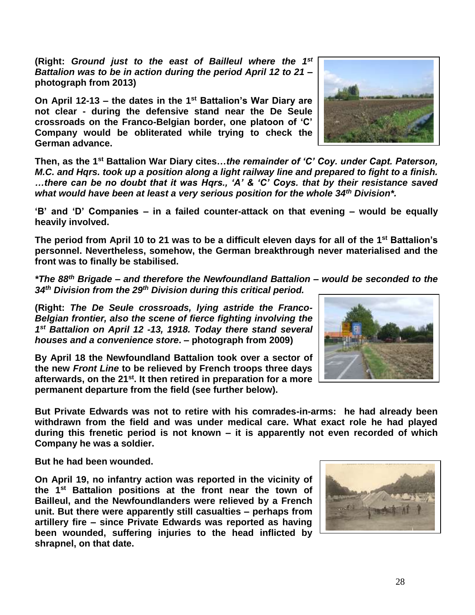**(Right:** *Ground just to the east of Bailleul where the 1 st Battalion was to be in action during the period April 12 to 21* **– photograph from 2013)**

**On April 12-13 – the dates in the 1st Battalion's War Diary are not clear - during the defensive stand near the De Seule crossroads on the Franco-Belgian border, one platoon of 'C' Company would be obliterated while trying to check the German advance.** 

**Then, as the 1st Battalion War Diary cites…***the remainder of 'C' Coy. under Capt. Paterson, M.C. and Hqrs. took up a position along a light railway line and prepared to fight to a finish. …there can be no doubt that it was Hqrs., 'A' & 'C' Coys. that by their resistance saved what would have been at least a very serious position for the whole 34th Division\*.*

**'B' and 'D' Companies – in a failed counter-attack on that evening – would be equally heavily involved.**

**The period from April 10 to 21 was to be a difficult eleven days for all of the 1st Battalion's personnel. Nevertheless, somehow, the German breakthrough never materialised and the front was to finally be stabilised.**

*\*The 88th Brigade – and therefore the Newfoundland Battalion – would be seconded to the 34th Division from the 29 th Division during this critical period.*

**(Right:** *The De Seule crossroads, lying astride the Franco-Belgian frontier, also the scene of fierce fighting involving the 1 st Battalion on April 12 -13, 1918. Today there stand several houses and a convenience store***. – photograph from 2009)**

**By April 18 the Newfoundland Battalion took over a sector of the new** *Front Line* **to be relieved by French troops three days afterwards, on the 21st. It then retired in preparation for a more permanent departure from the field (see further below).** 

**But Private Edwards was not to retire with his comrades-in-arms: he had already been withdrawn from the field and was under medical care. What exact role he had played during this frenetic period is not known – it is apparently not even recorded of which Company he was a soldier.**

**But he had been wounded.**

**On April 19, no infantry action was reported in the vicinity of the 1 st Battalion positions at the front near the town of Bailleul, and the Newfoundlanders were relieved by a French unit. But there were apparently still casualties – perhaps from artillery fire – since Private Edwards was reported as having been wounded, suffering injuries to the head inflicted by shrapnel, on that date.** 







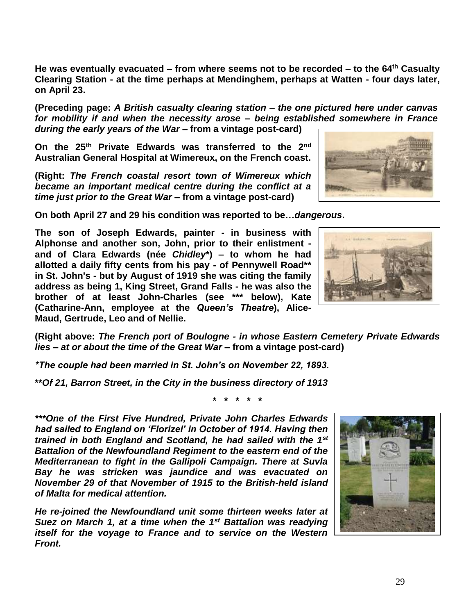**He was eventually evacuated – from where seems not to be recorded – to the 64th Casualty Clearing Station - at the time perhaps at Mendinghem, perhaps at Watten - four days later, on April 23.**

**(Preceding page:** *A British casualty clearing station – the one pictured here under canvas for mobility if and when the necessity arose – being established somewhere in France during the early years of the War* **– from a vintage post-card)**

**On the 25th Private Edwards was transferred to the 2nd Australian General Hospital at Wimereux, on the French coast.**

**(Right:** *The French coastal resort town of Wimereux which became an important medical centre during the conflict at a time just prior to the Great War* **– from a vintage post-card)**

**On both April 27 and 29 his condition was reported to be…***dangerous***.**

**The son of Joseph Edwards, painter - in business with Alphonse and another son, John, prior to their enlistment and of Clara Edwards (née** *Chidley***\*) – to whom he had allotted a daily fifty cents from his pay - of Pennywell Road\*\* in St. John's - but by August of 1919 she was citing the family address as being 1, King Street, Grand Falls - he was also the brother of at least John-Charles (see \*\*\* below), Kate (Catharine-Ann, employee at the** *Queen's Theatre***), Alice-Maud, Gertrude, Leo and of Nellie.**

**(Right above:** *The French port of Boulogne - in whose Eastern Cemetery Private Edwards lies – at or about the time of the Great War* **– from a vintage post-card)** 

*\*The couple had been married in St. John's on November 22, 1893.* 

**\*\****Of 21, Barron Street, in the City in the business directory of 1913*

**\* \* \* \* \***

*\*\*\*One of the First Five Hundred, Private John Charles Edwards had sailed to England on 'Florizel' in October of 1914. Having then trained in both England and Scotland, he had sailed with the 1st Battalion of the Newfoundland Regiment to the eastern end of the Mediterranean to fight in the Gallipoli Campaign. There at Suvla Bay he was stricken was jaundice and was evacuated on November 29 of that November of 1915 to the British-held island of Malta for medical attention.*

*He re-joined the Newfoundland unit some thirteen weeks later at Suez on March 1, at a time when the 1st Battalion was readying itself for the voyage to France and to service on the Western Front.*